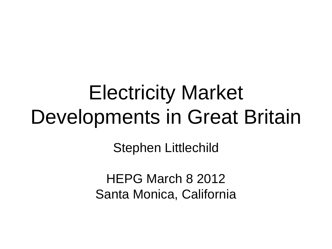#### Electricity Market Developments in Great Britain

Stephen Littlechild

HEPG March 8 2012 Santa Monica, California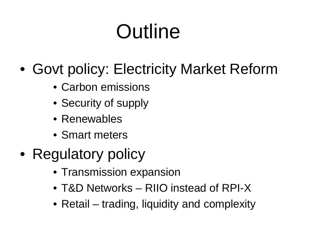# **Outline**

- Govt policy: Electricity Market Reform
	- Carbon emissions
	- Security of supply
	- Renewables
	- Smart meters
- Regulatory policy
	- Transmission expansion
	- T&D Networks RIIO instead of RPI-X
	- Retail trading, liquidity and complexity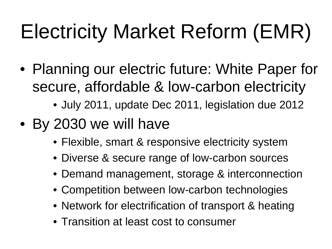# Electricity Market Reform (EMR)

- Planning our electric future: White Paper for secure, affordable & low-carbon electricity
	- July 2011, update Dec 2011, legislation due 2012
- By 2030 we will have
	- Flexible, smart & responsive electricity system
	- Diverse & secure range of low-carbon sources
	- Demand management, storage & interconnection
	- Competition between low-carbon technologies
	- Network for electrification of transport & heating
	- Transition at least cost to consumer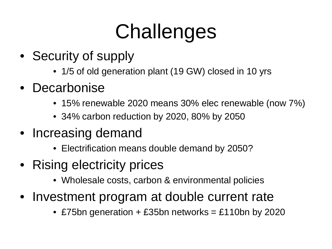# **Challenges**

- Security of supply
	- 1/5 of old generation plant (19 GW) closed in 10 yrs
- Decarbonise
	- 15% renewable 2020 means 30% elec renewable (now 7%)
	- 34% carbon reduction by 2020, 80% by 2050
- Increasing demand
	- Electrification means double demand by 2050?
- Rising electricity prices
	- Wholesale costs, carbon & environmental policies
- Investment program at double current rate
	- £75bn generation + £35bn networks = £110bn by 2020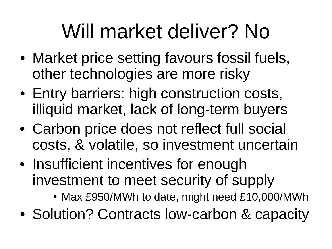## Will market deliver? No

- Market price setting favours fossil fuels, other technologies are more risky
- Entry barriers: high construction costs, illiquid market, lack of long-term buyers
- Carbon price does not reflect full social costs, & volatile, so investment uncertain
- Insufficient incentives for enough investment to meet security of supply
	- Max £950/MWh to date, might need £10,000/MWh
- Solution? Contracts low-carbon & capacity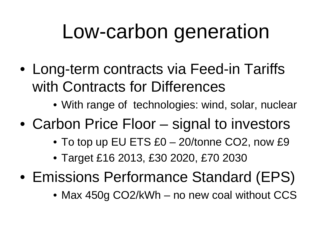#### Low-carbon generation

- Long-term contracts via Feed-in Tariffs with Contracts for Differences
	- With range of technologies: wind, solar, nuclear
- Carbon Price Floor signal to investors
	- To top up EU ETS £0 20/tonne CO2, now £9
	- Target £16 2013, £30 2020, £70 2030
- Emissions Performance Standard (EPS)
	- Max 450g CO2/kWh no new coal without CCS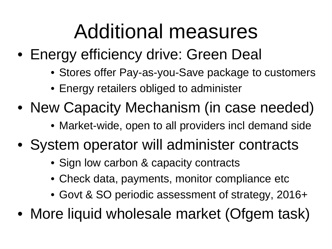#### Additional measures

- Energy efficiency drive: Green Deal
	- Stores offer Pay-as-you-Save package to customers
	- Energy retailers obliged to administer
- New Capacity Mechanism (in case needed)
	- Market-wide, open to all providers incl demand side
- System operator will administer contracts
	- Sign low carbon & capacity contracts
	- Check data, payments, monitor compliance etc
	- Govt & SO periodic assessment of strategy, 2016+
- More liquid wholesale market (Ofgem task)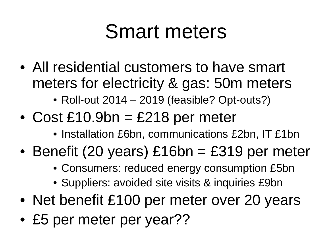#### Smart meters

- All residential customers to have smart meters for electricity & gas: 50m meters
	- Roll-out 2014 2019 (feasible? Opt-outs?)
- Cost  $£10.9$ bn = £218 per meter
	- Installation £6bn, communications £2bn, IT £1bn
- Benefit (20 years) £16bn = £319 per meter
	- Consumers: reduced energy consumption £5bn
	- Suppliers: avoided site visits & inquiries £9bn
- Net benefit £100 per meter over 20 years
- £5 per meter per year??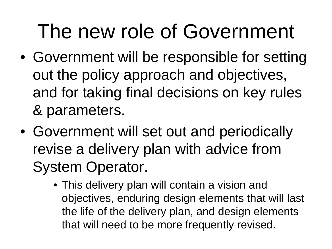#### The new role of Government

- Government will be responsible for setting out the policy approach and objectives, and for taking final decisions on key rules & parameters.
- Government will set out and periodically revise a delivery plan with advice from System Operator.
	- This delivery plan will contain a vision and objectives, enduring design elements that will last the life of the delivery plan, and design elements that will need to be more frequently revised.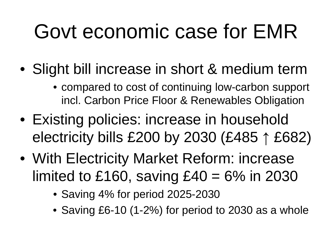## Govt economic case for EMR

- Slight bill increase in short & medium term
	- compared to cost of continuing low-carbon support incl. Carbon Price Floor & Renewables Obligation
- Existing policies: increase in household electricity bills £200 by 2030 (£485 ↑ £682)
- With Electricity Market Reform: increase limited to £160, saving  $£40 = 6\%$  in 2030
	- Saving 4% for period 2025-2030
	- Saving £6-10 (1-2%) for period to 2030 as a whole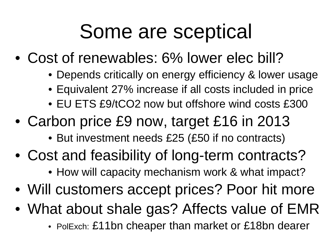### Some are sceptical

- Cost of renewables: 6% lower elec bill?
	- Depends critically on energy efficiency & lower usage
	- Equivalent 27% increase if all costs included in price
	- EU ETS £9/tCO2 now but offshore wind costs £300
- Carbon price £9 now, target £16 in 2013
	- But investment needs £25 (£50 if no contracts)
- Cost and feasibility of long-term contracts?
	- How will capacity mechanism work & what impact?
- Will customers accept prices? Poor hit more
- What about shale gas? Affects value of EMR
	- PolExch: £11bn cheaper than market or £18bn dearer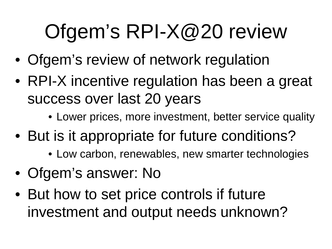# Ofgem's RPI-X@20 review

- Ofgem's review of network regulation
- RPI-X incentive regulation has been a great success over last 20 years
	- Lower prices, more investment, better service quality
- But is it appropriate for future conditions?
	- Low carbon, renewables, new smarter technologies
- Ofgem's answer: No
- But how to set price controls if future investment and output needs unknown?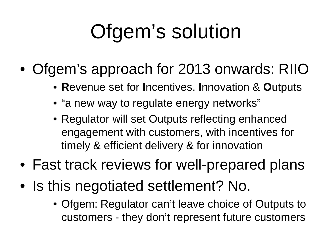# Ofgem's solution

- Ofgem's approach for 2013 onwards: RIIO
	- **R**evenue set for **I**ncentives, **I**nnovation & **O**utputs
	- "a new way to regulate energy networks"
	- Regulator will set Outputs reflecting enhanced engagement with customers, with incentives for timely & efficient delivery & for innovation
- Fast track reviews for well-prepared plans
- Is this negotiated settlement? No.
	- Ofgem: Regulator can't leave choice of Outputs to customers - they don't represent future customers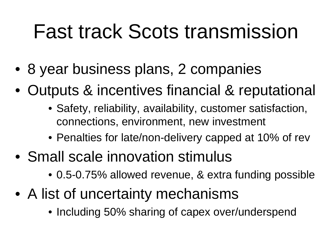#### Fast track Scots transmission

- 8 year business plans, 2 companies
- Outputs & incentives financial & reputational
	- Safety, reliability, availability, customer satisfaction, connections, environment, new investment
	- Penalties for late/non-delivery capped at 10% of rev
- Small scale innovation stimulus
	- 0.5-0.75% allowed revenue, & extra funding possible
- A list of uncertainty mechanisms
	- Including 50% sharing of capex over/underspend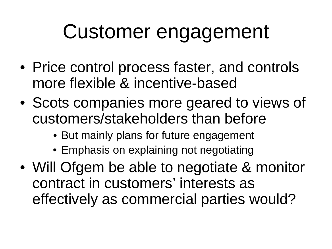## Customer engagement

- Price control process faster, and controls more flexible & incentive-based
- Scots companies more geared to views of customers/stakeholders than before
	- But mainly plans for future engagement
	- Emphasis on explaining not negotiating
- Will Ofgem be able to negotiate & monitor contract in customers' interests as effectively as commercial parties would?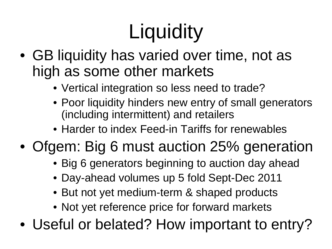# **Liquidity**

- GB liquidity has varied over time, not as high as some other markets
	- Vertical integration so less need to trade?
	- Poor liquidity hinders new entry of small generators (including intermittent) and retailers
	- Harder to index Feed-in Tariffs for renewables

#### • Ofgem: Big 6 must auction 25% generation

- Big 6 generators beginning to auction day ahead
- Day-ahead volumes up 5 fold Sept-Dec 2011
- But not yet medium-term & shaped products
- Not yet reference price for forward markets
- Useful or belated? How important to entry?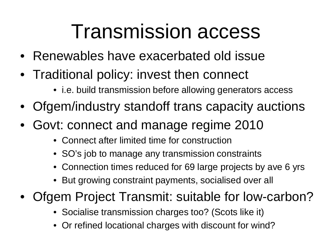#### Transmission access

- Renewables have exacerbated old issue
- Traditional policy: invest then connect
	- i.e. build transmission before allowing generators access
- Ofgem/industry standoff trans capacity auctions
- Govt: connect and manage regime 2010
	- Connect after limited time for construction
	- SO's job to manage any transmission constraints
	- Connection times reduced for 69 large projects by ave 6 yrs
	- But growing constraint payments, socialised over all
- Ofgem Project Transmit: suitable for low-carbon?
	- Socialise transmission charges too? (Scots like it)
	- Or refined locational charges with discount for wind?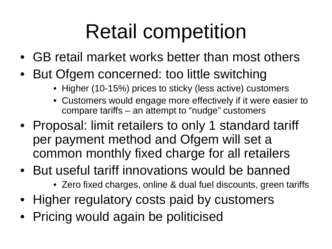## Retail competition

- GB retail market works better than most others
- But Ofgem concerned: too little switching
	- Higher (10-15%) prices to sticky (less active) customers
	- Customers would engage more effectively if it were easier to compare tariffs – an attempt to "nudge" customers
- Proposal: limit retailers to only 1 standard tariff per payment method and Ofgem will set a common monthly fixed charge for all retailers
- But useful tariff innovations would be banned
	- Zero fixed charges, online & dual fuel discounts, green tariffs
- Higher regulatory costs paid by customers
- Pricing would again be politicised